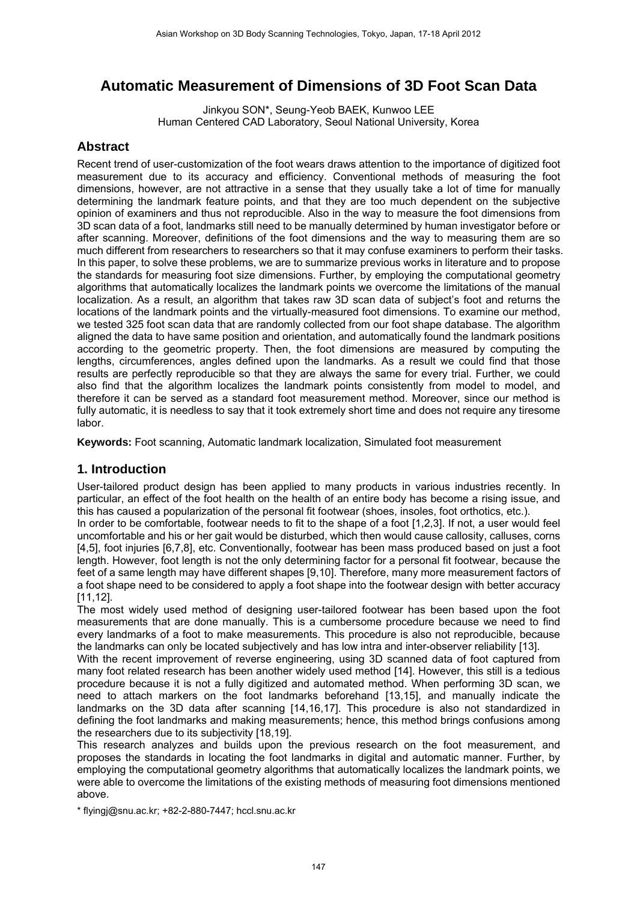# **Automatic Measurement of Dimensions of 3D Foot Scan Data**

Jinkyou SON\*, Seung-Yeob BAEK, Kunwoo LEE Human Centered CAD Laboratory, Seoul National University, Korea

### **Abstract**

Recent trend of user-customization of the foot wears draws attention to the importance of digitized foot measurement due to its accuracy and efficiency. Conventional methods of measuring the foot dimensions, however, are not attractive in a sense that they usually take a lot of time for manually determining the landmark feature points, and that they are too much dependent on the subjective opinion of examiners and thus not reproducible. Also in the way to measure the foot dimensions from 3D scan data of a foot, landmarks still need to be manually determined by human investigator before or after scanning. Moreover, definitions of the foot dimensions and the way to measuring them are so much different from researchers to researchers so that it may confuse examiners to perform their tasks. In this paper, to solve these problems, we are to summarize previous works in literature and to propose the standards for measuring foot size dimensions. Further, by employing the computational geometry algorithms that automatically localizes the landmark points we overcome the limitations of the manual localization. As a result, an algorithm that takes raw 3D scan data of subject's foot and returns the locations of the landmark points and the virtually-measured foot dimensions. To examine our method, we tested 325 foot scan data that are randomly collected from our foot shape database. The algorithm aligned the data to have same position and orientation, and automatically found the landmark positions according to the geometric property. Then, the foot dimensions are measured by computing the lengths, circumferences, angles defined upon the landmarks. As a result we could find that those results are perfectly reproducible so that they are always the same for every trial. Further, we could also find that the algorithm localizes the landmark points consistently from model to model, and therefore it can be served as a standard foot measurement method. Moreover, since our method is fully automatic, it is needless to say that it took extremely short time and does not require any tiresome labor.

**Keywords:** Foot scanning, Automatic landmark localization, Simulated foot measurement

### **1. Introduction**

User-tailored product design has been applied to many products in various industries recently. In particular, an effect of the foot health on the health of an entire body has become a rising issue, and this has caused a popularization of the personal fit footwear (shoes, insoles, foot orthotics, etc.).

In order to be comfortable, footwear needs to fit to the shape of a foot [1,2,3]. If not, a user would feel uncomfortable and his or her gait would be disturbed, which then would cause callosity, calluses, corns [4,5], foot injuries [6,7,8], etc. Conventionally, footwear has been mass produced based on just a foot length. However, foot length is not the only determining factor for a personal fit footwear, because the feet of a same length may have different shapes [9,10]. Therefore, many more measurement factors of a foot shape need to be considered to apply a foot shape into the footwear design with better accuracy [11,12].

The most widely used method of designing user-tailored footwear has been based upon the foot measurements that are done manually. This is a cumbersome procedure because we need to find every landmarks of a foot to make measurements. This procedure is also not reproducible, because the landmarks can only be located subjectively and has low intra and inter-observer reliability [13].

With the recent improvement of reverse engineering, using 3D scanned data of foot captured from many foot related research has been another widely used method [14]. However, this still is a tedious procedure because it is not a fully digitized and automated method. When performing 3D scan, we need to attach markers on the foot landmarks beforehand [13,15], and manually indicate the landmarks on the 3D data after scanning [14,16,17]. This procedure is also not standardized in defining the foot landmarks and making measurements; hence, this method brings confusions among the researchers due to its subjectivity [18,19].

This research analyzes and builds upon the previous research on the foot measurement, and proposes the standards in locating the foot landmarks in digital and automatic manner. Further, by employing the computational geometry algorithms that automatically localizes the landmark points, we were able to overcome the limitations of the existing methods of measuring foot dimensions mentioned above.

\* flyingj@snu.ac.kr; +82-2-880-7447; hccl.snu.ac.kr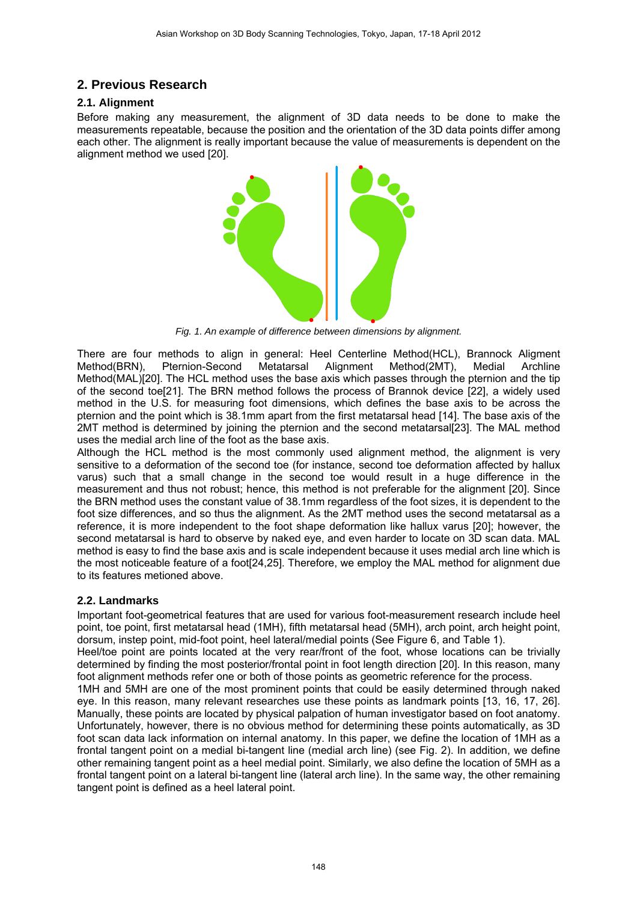# **2. Previous Research**

#### **2.1. Alignment**

Before making any measurement, the alignment of 3D data needs to be done to make the measurements repeatable, because the position and the orientation of the 3D data points differ among each other. The alignment is really important because the value of measurements is dependent on the alignment method we used [20].



*Fig. 1. An example of difference between dimensions by alignment.* 

There are four methods to align in general: Heel Centerline Method(HCL), Brannock Aligment Method(BRN), Pternion-Second Metatarsal Alignment Method(2MT), Medial Archline Method(MAL)[20]. The HCL method uses the base axis which passes through the pternion and the tip of the second toe[21]. The BRN method follows the process of Brannok device [22], a widely used method in the U.S. for measuring foot dimensions, which defines the base axis to be across the pternion and the point which is 38.1mm apart from the first metatarsal head [14]. The base axis of the 2MT method is determined by joining the pternion and the second metatarsal[23]. The MAL method uses the medial arch line of the foot as the base axis.

Although the HCL method is the most commonly used alignment method, the alignment is very sensitive to a deformation of the second toe (for instance, second toe deformation affected by hallux varus) such that a small change in the second toe would result in a huge difference in the measurement and thus not robust; hence, this method is not preferable for the alignment [20]. Since the BRN method uses the constant value of 38.1mm regardless of the foot sizes, it is dependent to the foot size differences, and so thus the alignment. As the 2MT method uses the second metatarsal as a reference, it is more independent to the foot shape deformation like hallux varus [20]; however, the second metatarsal is hard to observe by naked eye, and even harder to locate on 3D scan data. MAL method is easy to find the base axis and is scale independent because it uses medial arch line which is the most noticeable feature of a foot[24,25]. Therefore, we employ the MAL method for alignment due to its features metioned above.

### **2.2. Landmarks**

Important foot-geometrical features that are used for various foot-measurement research include heel point, toe point, first metatarsal head (1MH), fifth metatarsal head (5MH), arch point, arch height point, dorsum, instep point, mid-foot point, heel lateral/medial points (See Figure 6, and Table 1). Heel/toe point are points located at the very rear/front of the foot, whose locations can be trivially determined by finding the most posterior/frontal point in foot length direction [20]. In this reason, many foot alignment methods refer one or both of those points as geometric reference for the process. 1MH and 5MH are one of the most prominent points that could be easily determined through naked eye. In this reason, many relevant researches use these points as landmark points [13, 16, 17, 26]. Manually, these points are located by physical palpation of human investigator based on foot anatomy. Unfortunately, however, there is no obvious method for determining these points automatically, as 3D foot scan data lack information on internal anatomy. In this paper, we define the location of 1MH as a frontal tangent point on a medial bi-tangent line (medial arch line) (see Fig. 2). In addition, we define other remaining tangent point as a heel medial point. Similarly, we also define the location of 5MH as a frontal tangent point on a lateral bi-tangent line (lateral arch line). In the same way, the other remaining tangent point is defined as a heel lateral point.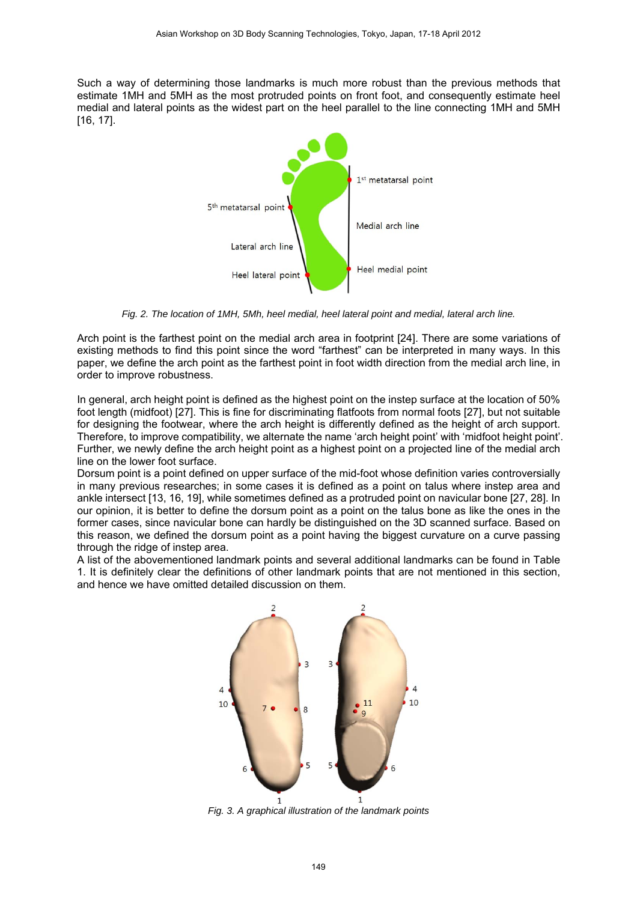Such a way of determining those landmarks is much more robust than the previous methods that estimate 1MH and 5MH as the most protruded points on front foot, and consequently estimate heel medial and lateral points as the widest part on the heel parallel to the line connecting 1MH and 5MH [16, 17].



*Fig. 2. The location of 1MH, 5Mh, heel medial, heel lateral point and medial, lateral arch line.* 

Arch point is the farthest point on the medial arch area in footprint [24]. There are some variations of existing methods to find this point since the word "farthest" can be interpreted in many ways. In this paper, we define the arch point as the farthest point in foot width direction from the medial arch line, in order to improve robustness.

In general, arch height point is defined as the highest point on the instep surface at the location of 50% foot length (midfoot) [27]. This is fine for discriminating flatfoots from normal foots [27], but not suitable for designing the footwear, where the arch height is differently defined as the height of arch support. Therefore, to improve compatibility, we alternate the name 'arch height point' with 'midfoot height point'. Further, we newly define the arch height point as a highest point on a projected line of the medial arch line on the lower foot surface.

Dorsum point is a point defined on upper surface of the mid-foot whose definition varies controversially in many previous researches; in some cases it is defined as a point on talus where instep area and ankle intersect [13, 16, 19], while sometimes defined as a protruded point on navicular bone [27, 28]. In our opinion, it is better to define the dorsum point as a point on the talus bone as like the ones in the former cases, since navicular bone can hardly be distinguished on the 3D scanned surface. Based on this reason, we defined the dorsum point as a point having the biggest curvature on a curve passing through the ridge of instep area.

A list of the abovementioned landmark points and several additional landmarks can be found in Table 1. It is definitely clear the definitions of other landmark points that are not mentioned in this section, and hence we have omitted detailed discussion on them.



*Fig. 3. A graphical illustration of the landmark points*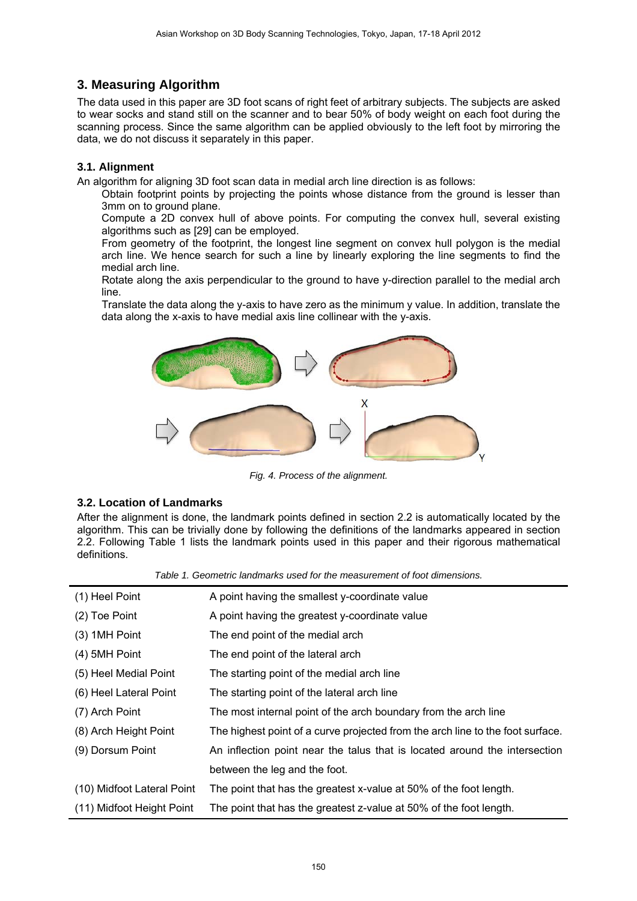# **3. Measuring Algorithm**

The data used in this paper are 3D foot scans of right feet of arbitrary subjects. The subjects are asked to wear socks and stand still on the scanner and to bear 50% of body weight on each foot during the scanning process. Since the same algorithm can be applied obviously to the left foot by mirroring the data, we do not discuss it separately in this paper.

#### **3.1. Alignment**

An algorithm for aligning 3D foot scan data in medial arch line direction is as follows:

 Obtain footprint points by projecting the points whose distance from the ground is lesser than 3mm on to ground plane.

 Compute a 2D convex hull of above points. For computing the convex hull, several existing algorithms such as [29] can be employed.

 From geometry of the footprint, the longest line segment on convex hull polygon is the medial arch line. We hence search for such a line by linearly exploring the line segments to find the medial arch line.

 Rotate along the axis perpendicular to the ground to have y-direction parallel to the medial arch line.

 Translate the data along the y-axis to have zero as the minimum y value. In addition, translate the data along the x-axis to have medial axis line collinear with the y-axis.



*Fig. 4. Process of the alignment.*

#### **3.2. Location of Landmarks**

After the alignment is done, the landmark points defined in section 2.2 is automatically located by the algorithm. This can be trivially done by following the definitions of the landmarks appeared in section 2.2. Following Table 1 lists the landmark points used in this paper and their rigorous mathematical definitions.

*Table 1. Geometric landmarks used for the measurement of foot dimensions.* 

| (1) Heel Point             | A point having the smallest y-coordinate value                                 |  |  |  |  |
|----------------------------|--------------------------------------------------------------------------------|--|--|--|--|
| (2) Toe Point              | A point having the greatest y-coordinate value                                 |  |  |  |  |
| $(3)$ 1MH Point            | The end point of the medial arch                                               |  |  |  |  |
| $(4)$ 5MH Point            | The end point of the lateral arch                                              |  |  |  |  |
| (5) Heel Medial Point      | The starting point of the medial arch line                                     |  |  |  |  |
| (6) Heel Lateral Point     | The starting point of the lateral arch line                                    |  |  |  |  |
| (7) Arch Point             | The most internal point of the arch boundary from the arch line                |  |  |  |  |
| (8) Arch Height Point      | The highest point of a curve projected from the arch line to the foot surface. |  |  |  |  |
| (9) Dorsum Point           | An inflection point near the talus that is located around the intersection     |  |  |  |  |
|                            | between the leg and the foot.                                                  |  |  |  |  |
| (10) Midfoot Lateral Point | The point that has the greatest x-value at 50% of the foot length.             |  |  |  |  |
| (11) Midfoot Height Point  | The point that has the greatest z-value at 50% of the foot length.             |  |  |  |  |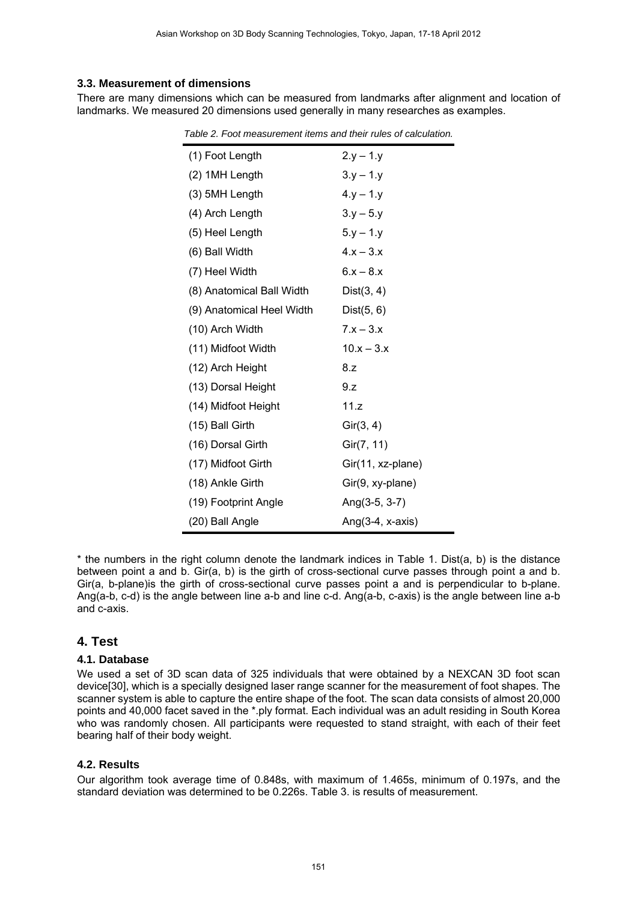#### **3.3. Measurement of dimensions**

There are many dimensions which can be measured from landmarks after alignment and location of landmarks. We measured 20 dimensions used generally in many researches as examples.

| (1) Foot Length           | $2.y - 1.y$         |  |  |  |
|---------------------------|---------------------|--|--|--|
| (2) 1MH Length            | $3.y - 1.y$         |  |  |  |
| (3) 5MH Length            | $4.y - 1.y$         |  |  |  |
| (4) Arch Length           | $3.y - 5.y$         |  |  |  |
| (5) Heel Length           | $5.y - 1.y$         |  |  |  |
| (6) Ball Width            | $4.x - 3.x$         |  |  |  |
| (7) Heel Width            | $6.x - 8.x$         |  |  |  |
| (8) Anatomical Ball Width | Dist(3, 4)          |  |  |  |
| (9) Anatomical Heel Width | Dist(5, 6)          |  |  |  |
| (10) Arch Width           | $7.x - 3.x$         |  |  |  |
| (11) Midfoot Width        | $10.x - 3.x$        |  |  |  |
| (12) Arch Height          | 8.Z                 |  |  |  |
| (13) Dorsal Height        | 9.7                 |  |  |  |
| (14) Midfoot Height       | 11.z                |  |  |  |
| (15) Ball Girth           | Gir(3, 4)           |  |  |  |
| (16) Dorsal Girth         | Gir(7, 11)          |  |  |  |
| (17) Midfoot Girth        | Gir(11, xz-plane)   |  |  |  |
| (18) Ankle Girth          | Gir(9, xy-plane)    |  |  |  |
| (19) Footprint Angle      | Ang $(3-5, 3-7)$    |  |  |  |
| (20) Ball Angle           | Ang $(3-4, x-axis)$ |  |  |  |

\* the numbers in the right column denote the landmark indices in Table 1. Dist(a, b) is the distance between point a and b. Gir(a, b) is the girth of cross-sectional curve passes through point a and b. Gir(a, b-plane)is the girth of cross-sectional curve passes point a and is perpendicular to b-plane. Ang(a-b, c-d) is the angle between line a-b and line c-d. Ang(a-b, c-axis) is the angle between line a-b and c-axis.

#### **4. Test**

#### **4.1. Database**

We used a set of 3D scan data of 325 individuals that were obtained by a NEXCAN 3D foot scan device[30], which is a specially designed laser range scanner for the measurement of foot shapes. The scanner system is able to capture the entire shape of the foot. The scan data consists of almost 20,000 points and 40,000 facet saved in the \*.ply format. Each individual was an adult residing in South Korea who was randomly chosen. All participants were requested to stand straight, with each of their feet bearing half of their body weight.

#### **4.2. Results**

Our algorithm took average time of 0.848s, with maximum of 1.465s, minimum of 0.197s, and the standard deviation was determined to be 0.226s. Table 3. is results of measurement.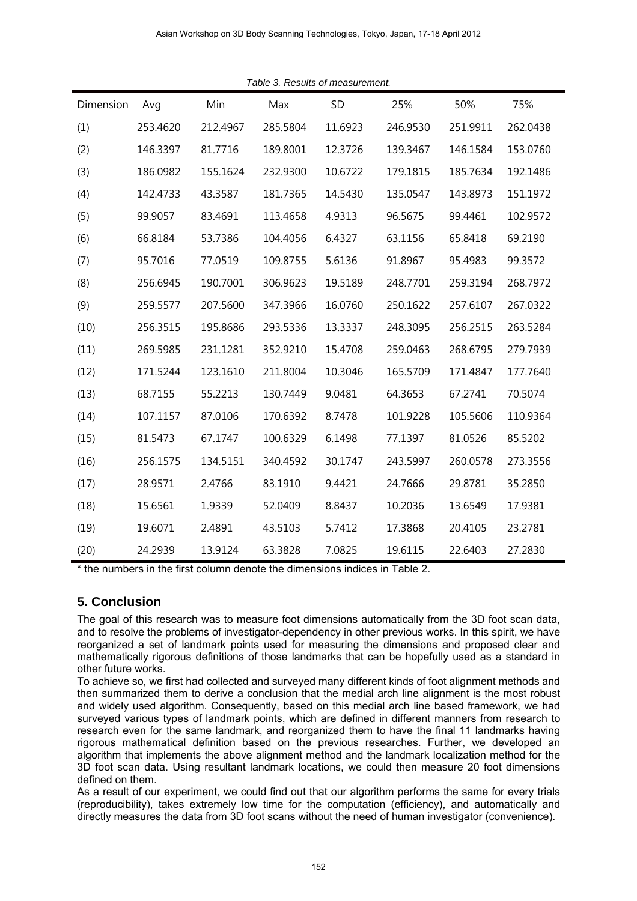| Dimension | Avg      | Min      | Max      | SD      | 25%      | 50%      | 75%      |
|-----------|----------|----------|----------|---------|----------|----------|----------|
| (1)       | 253.4620 | 212.4967 | 285.5804 | 11.6923 | 246.9530 | 251.9911 | 262.0438 |
| (2)       | 146.3397 | 81.7716  | 189.8001 | 12.3726 | 139.3467 | 146.1584 | 153.0760 |
| (3)       | 186.0982 | 155.1624 | 232.9300 | 10.6722 | 179.1815 | 185.7634 | 192.1486 |
| (4)       | 142.4733 | 43.3587  | 181.7365 | 14.5430 | 135.0547 | 143.8973 | 151.1972 |
| (5)       | 99.9057  | 83.4691  | 113.4658 | 4.9313  | 96.5675  | 99.4461  | 102.9572 |
| (6)       | 66.8184  | 53.7386  | 104.4056 | 6.4327  | 63.1156  | 65.8418  | 69.2190  |
| (7)       | 95.7016  | 77.0519  | 109.8755 | 5.6136  | 91.8967  | 95.4983  | 99.3572  |
| (8)       | 256.6945 | 190.7001 | 306.9623 | 19.5189 | 248.7701 | 259.3194 | 268.7972 |
| (9)       | 259.5577 | 207.5600 | 347.3966 | 16.0760 | 250.1622 | 257.6107 | 267.0322 |
| (10)      | 256.3515 | 195.8686 | 293.5336 | 13.3337 | 248.3095 | 256.2515 | 263.5284 |
| (11)      | 269.5985 | 231.1281 | 352.9210 | 15.4708 | 259.0463 | 268.6795 | 279.7939 |
| (12)      | 171.5244 | 123.1610 | 211.8004 | 10.3046 | 165.5709 | 171.4847 | 177.7640 |
| (13)      | 68.7155  | 55.2213  | 130.7449 | 9.0481  | 64.3653  | 67.2741  | 70.5074  |
| (14)      | 107.1157 | 87.0106  | 170.6392 | 8.7478  | 101.9228 | 105.5606 | 110.9364 |
| (15)      | 81.5473  | 67.1747  | 100.6329 | 6.1498  | 77.1397  | 81.0526  | 85.5202  |
| (16)      | 256.1575 | 134.5151 | 340.4592 | 30.1747 | 243.5997 | 260.0578 | 273.3556 |
| (17)      | 28.9571  | 2.4766   | 83.1910  | 9.4421  | 24.7666  | 29.8781  | 35.2850  |
| (18)      | 15.6561  | 1.9339   | 52.0409  | 8.8437  | 10.2036  | 13.6549  | 17.9381  |
| (19)      | 19.6071  | 2.4891   | 43.5103  | 5.7412  | 17.3868  | 20.4105  | 23.2781  |
| (20)      | 24.2939  | 13.9124  | 63.3828  | 7.0825  | 19.6115  | 22.6403  | 27.2830  |

*Table 3. Results of measurement.* 

\* the numbers in the first column denote the dimensions indices in Table 2.

### **5. Conclusion**

The goal of this research was to measure foot dimensions automatically from the 3D foot scan data, and to resolve the problems of investigator-dependency in other previous works. In this spirit, we have reorganized a set of landmark points used for measuring the dimensions and proposed clear and mathematically rigorous definitions of those landmarks that can be hopefully used as a standard in other future works.

To achieve so, we first had collected and surveyed many different kinds of foot alignment methods and then summarized them to derive a conclusion that the medial arch line alignment is the most robust and widely used algorithm. Consequently, based on this medial arch line based framework, we had surveyed various types of landmark points, which are defined in different manners from research to research even for the same landmark, and reorganized them to have the final 11 landmarks having rigorous mathematical definition based on the previous researches. Further, we developed an algorithm that implements the above alignment method and the landmark localization method for the 3D foot scan data. Using resultant landmark locations, we could then measure 20 foot dimensions defined on them.

As a result of our experiment, we could find out that our algorithm performs the same for every trials (reproducibility), takes extremely low time for the computation (efficiency), and automatically and directly measures the data from 3D foot scans without the need of human investigator (convenience).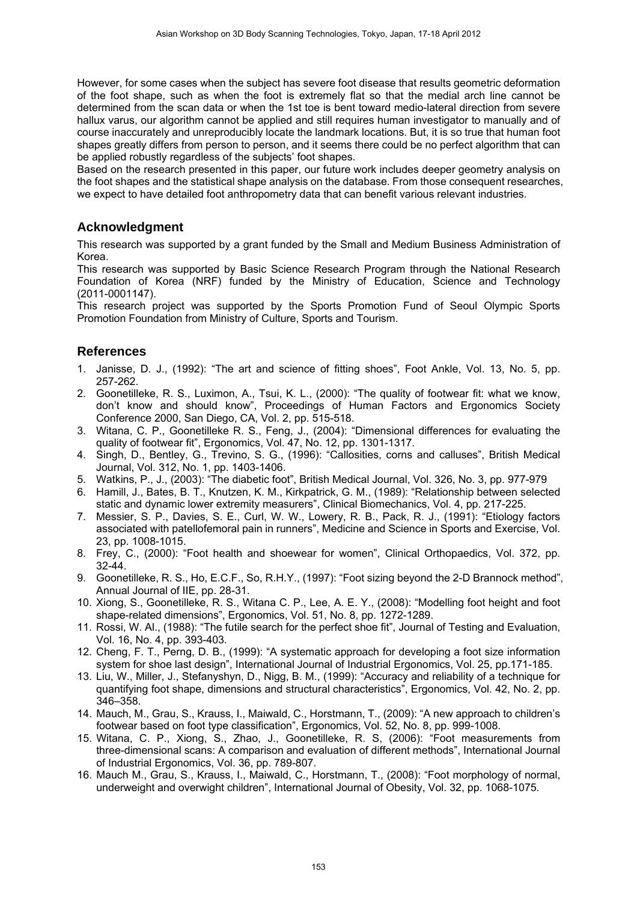However, for some cases when the subject has severe foot disease that results geometric deformation of the foot shape, such as when the foot is extremely flat so that the medial arch line cannot be determined from the scan data or when the 1st toe is bent toward medio-lateral direction from severe hallux varus, our algorithm cannot be applied and still requires human investigator to manually and of course inaccurately and unreproducibly locate the landmark locations. But, it is so true that human foot shapes greatly differs from person to person, and it seems there could be no perfect algorithm that can be applied robustly regardless of the subjects' foot shapes.

Based on the research presented in this paper, our future work includes deeper geometry analysis on the foot shapes and the statistical shape analysis on the database. From those consequent researches, we expect to have detailed foot anthropometry data that can benefit various relevant industries.

### **Acknowledgment**

This research was supported by a grant funded by the Small and Medium Business Administration of Korea.

This research was supported by Basic Science Research Program through the National Research Foundation of Korea (NRF) funded by the Ministry of Education, Science and Technology (2011-0001147).

This research project was supported by the Sports Promotion Fund of Seoul Olympic Sports Promotion Foundation from Ministry of Culture, Sports and Tourism.

# **References**

- 1. Janisse, D. J., (1992): "The art and science of fitting shoes", Foot Ankle, Vol. 13, No. 5, pp. 257-262.
- 2. Goonetilleke, R. S., Luximon, A., Tsui, K. L., (2000): "The quality of footwear fit: what we know, don't know and should know", Proceedings of Human Factors and Ergonomics Society Conference 2000, San Diego, CA, Vol. 2, pp. 515-518.
- 3. Witana, C. P., Goonetilleke R. S., Feng, J., (2004): "Dimensional differences for evaluating the quality of footwear fit", Ergonomics, Vol. 47, No. 12, pp. 1301-1317.
- 4. Singh, D., Bentley, G., Trevino, S. G., (1996): "Callosities, corns and calluses", British Medical Journal, Vol. 312, No. 1, pp. 1403-1406.
- 5. Watkins, P., J., (2003): "The diabetic foot", British Medical Journal, Vol. 326, No. 3, pp. 977-979
- 6. Hamill, J., Bates, B. T., Knutzen, K. M., Kirkpatrick, G. M., (1989): "Relationship between selected static and dynamic lower extremity measurers", Clinical Biomechanics, Vol. 4, pp. 217-225.
- 7. Messier, S. P., Davies, S. E., Curl, W. W., Lowery, R. B., Pack, R. J., (1991): "Etiology factors associated with patellofemoral pain in runners", Medicine and Science in Sports and Exercise, Vol. 23, pp. 1008-1015.
- 8. Frey, C., (2000): "Foot health and shoewear for women", Clinical Orthopaedics, Vol. 372, pp. 32-44.
- 9. Goonetilleke, R. S., Ho, E.C.F., So, R.H.Y., (1997): "Foot sizing beyond the 2-D Brannock method", Annual Journal of IIE, pp. 28-31.
- 10. Xiong, S., Goonetilleke, R. S., Witana C. P., Lee, A. E. Y., (2008): "Modelling foot height and foot shape-related dimensions", Ergonomics, Vol. 51, No. 8, pp. 1272-1289.
- 11. Rossi, W. Al., (1988): "The futile search for the perfect shoe fit", Journal of Testing and Evaluation, Vol. 16, No. 4, pp. 393-403.
- 12. Cheng, F. T., Perng, D. B., (1999): "A systematic approach for developing a foot size information system for shoe last design", International Journal of Industrial Ergonomics, Vol. 25, pp.171-185.
- 13. Liu, W., Miller, J., Stefanyshyn, D., Nigg, B. M., (1999): "Accuracy and reliability of a technique for quantifying foot shape, dimensions and structural characteristics", Ergonomics, Vol. 42, No. 2, pp. 346–358.
- 14. Mauch, M., Grau, S., Krauss, I., Maiwald, C., Horstmann, T., (2009): "A new approach to children's footwear based on foot type classification", Ergonomics, Vol. 52, No. 8, pp. 999-1008.
- 15. Witana, C. P., Xiong, S., Zhao, J., Goonetilleke, R. S, (2006): "Foot measurements from three-dimensional scans: A comparison and evaluation of different methods", International Journal of Industrial Ergonomics, Vol. 36, pp. 789-807.
- 16. Mauch M., Grau, S., Krauss, I., Maiwald, C., Horstmann, T., (2008): "Foot morphology of normal, underweight and overwight children", International Journal of Obesity, Vol. 32, pp. 1068-1075.